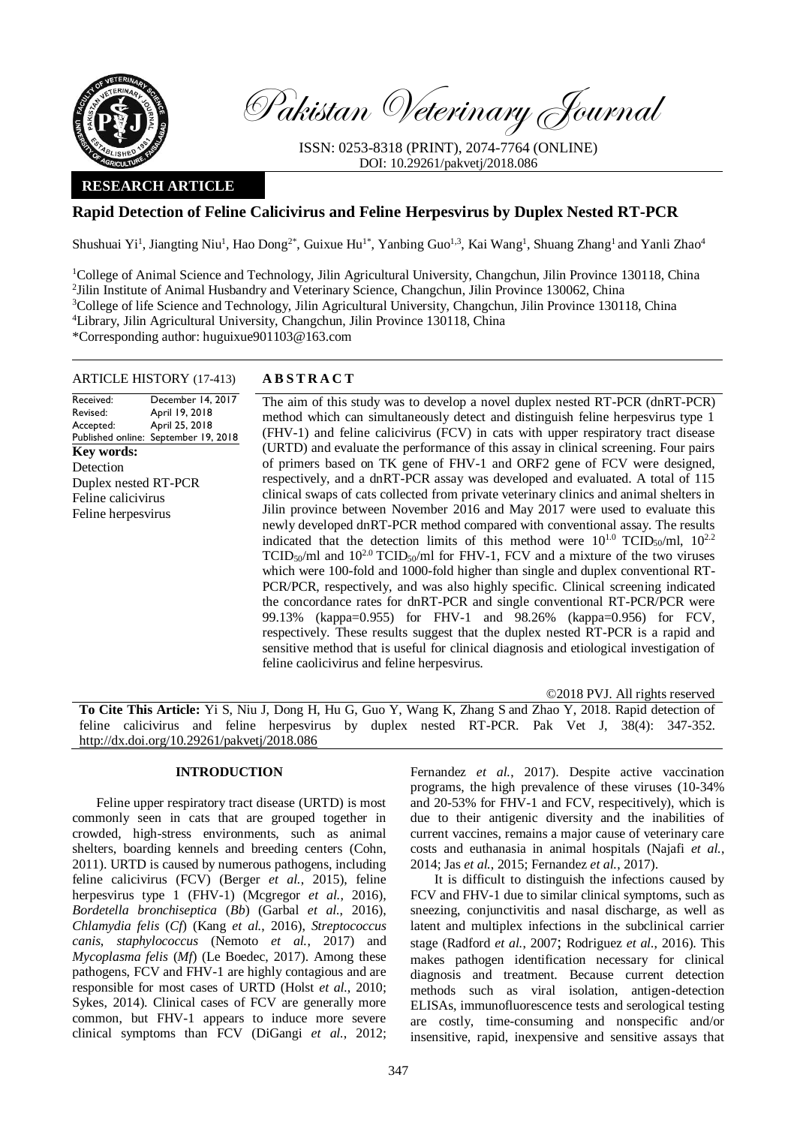

Pakistan Veterinary Journal

ISSN: 0253-8318 (PRINT), 2074-7764 (ONLINE) DOI: 10.29261/pakvetj/2018.086

# **RESEARCH ARTICLE**

# **Rapid Detection of Feline Calicivirus and Feline Herpesvirus by Duplex Nested RT-PCR**

Shushuai Yi<sup>1</sup>, Jiangting Niu<sup>1</sup>, Hao Dong<sup>2\*</sup>, Guixue Hu<sup>1\*</sup>, Yanbing Guo<sup>1,3</sup>, Kai Wang<sup>1</sup>, Shuang Zhang<sup>1</sup> and Yanli Zhao<sup>4</sup>

<sup>1</sup>College of Animal Science and Technology, Jilin Agricultural University, Changchun, Jilin Province 130118, China <sup>2</sup> Jilin Institute of Animal Husbandry and Veterinary Science, Changchun, Jilin Province 130062, China <sup>3</sup>College of life Science and Technology, Jilin Agricultural University, Changchun, Jilin Province 130118, China <sup>4</sup>Library, Jilin Agricultural University, Changchun, Jilin Province 130118, China \*Corresponding author: huguixue901103@163.com

## ARTICLE HISTORY (17-413) **A B S T R A C T**

Received: Revised: Accepted: Published online: September 19, 2018 December 14, 2017 April 19, 2018 April 25, 2018 **Key words:**  Detection Duplex nested RT-PCR Feline calicivirus Feline herpesvirus

The aim of this study was to develop a novel duplex nested RT-PCR (dnRT-PCR) method which can simultaneously detect and distinguish feline herpesvirus type 1 (FHV-1) and feline calicivirus (FCV) in cats with upper respiratory tract disease (URTD) and evaluate the performance of this assay in clinical screening. Four pairs of primers based on TK gene of FHV-1 and ORF2 gene of FCV were designed, respectively, and a dnRT-PCR assay was developed and evaluated. A total of 115 clinical swaps of cats collected from private veterinary clinics and animal shelters in Jilin province between November 2016 and May 2017 were used to evaluate this newly developed dnRT-PCR method compared with conventional assay. The results indicated that the detection limits of this method were  $10^{1.0}$  TCID<sub>50</sub>/ml,  $10^{2.2}$  $TCID<sub>50</sub>/ml$  and  $10<sup>2.0</sup> TCID<sub>50</sub>/ml$  for FHV-1, FCV and a mixture of the two viruses which were 100-fold and 1000-fold higher than single and duplex conventional RT-PCR/PCR, respectively, and was also highly specific. Clinical screening indicated the concordance rates for dnRT-PCR and single conventional RT-PCR/PCR were 99.13% (kappa=0.955) for FHV-1 and 98.26% (kappa=0.956) for FCV, respectively. These results suggest that the duplex nested RT-PCR is a rapid and sensitive method that is useful for clinical diagnosis and etiological investigation of feline caolicivirus and feline herpesvirus.

©2018 PVJ. All rights reserved

**To Cite This Article:** Yi S, Niu J, Dong H, Hu G, Guo Y, Wang K, Zhang S and Zhao Y, 2018. Rapid detection of feline calicivirus and feline herpesvirus by duplex nested RT-PCR. Pak Vet J, 38(4): 347-352. [http://dx.doi.org/10.29261/pakvetj/2018.086](http://pvj.com.pk/pdf-files/38_4/347-352.pdf)

## **INTRODUCTION**

Feline upper respiratory tract disease (URTD) is most commonly seen in cats that are grouped together in crowded, high-stress environments, such as animal shelters, boarding kennels and breeding centers [\(Cohn,](#page-4-0)  [2011\)](#page-4-0). URTD is caused by numerous pathogens, including feline calicivirus (FCV) (Berger *et al.*[, 2015\)](#page-4-1), feline herpesvirus type 1 (FHV-1) [\(Mcgregor](#page-5-0) *et al.*, 2016), *Bordetella bronchiseptica* (*Bb*) (Garbal *et al.*[, 2016\)](#page-4-2), *Chlamydia felis* (*Cf*) (Kang *et al.*[, 2016\)](#page-5-1), *Streptococcus canis*, *staphylococcus* [\(Nemoto](#page-5-2) *et al.*, 2017) and *Mycoplasma felis* (*Mf*) [\(Le Boedec, 2017\)](#page-5-3). Among these pathogens, FCV and FHV-1 are highly contagious and are responsible for most cases of URTD (Holst *et al.*[, 2010;](#page-5-4) [Sykes, 2014\)](#page-5-5). Clinical cases of FCV are generally more common, but FHV-1 appears to induce more severe clinical symptoms than FCV [\(DiGangi](#page-4-3) *et al.*, 2012;

[Fernandez](#page-4-4) *et al.*, 2017). Despite active vaccination programs, the high prevalence of these viruses (10-34% and 20-53% for FHV-1 and FCV, respecitively), which is due to their antigenic diversity and the inabilities of current vaccines, remains a major cause of veterinary care costs and euthanasia in animal hospitals [\(Najafi](#page-5-6) *et al.*, [2014;](#page-5-6) Jas *et al.*[, 2015;](#page-5-7) [Fernandez](#page-4-4) *et al.*, 2017).

It is difficult to distinguish the infections caused by FCV and FHV-1 due to similar clinical symptoms, such as sneezing, conjunctivitis and nasal discharge, as well as latent and multiplex infections in the subclinical carrier stage [\(Radford](#page-5-8) *et al.*, 2007; [Rodriguez](#page-5-9) *et al.*, 2016). This makes pathogen identification necessary for clinical diagnosis and treatment. Because current detection methods such as viral isolation, antigen-detection ELISAs, immunofluorescence tests and serological testing are costly, time-consuming and nonspecific and/or insensitive, rapid, inexpensive and sensitive assays that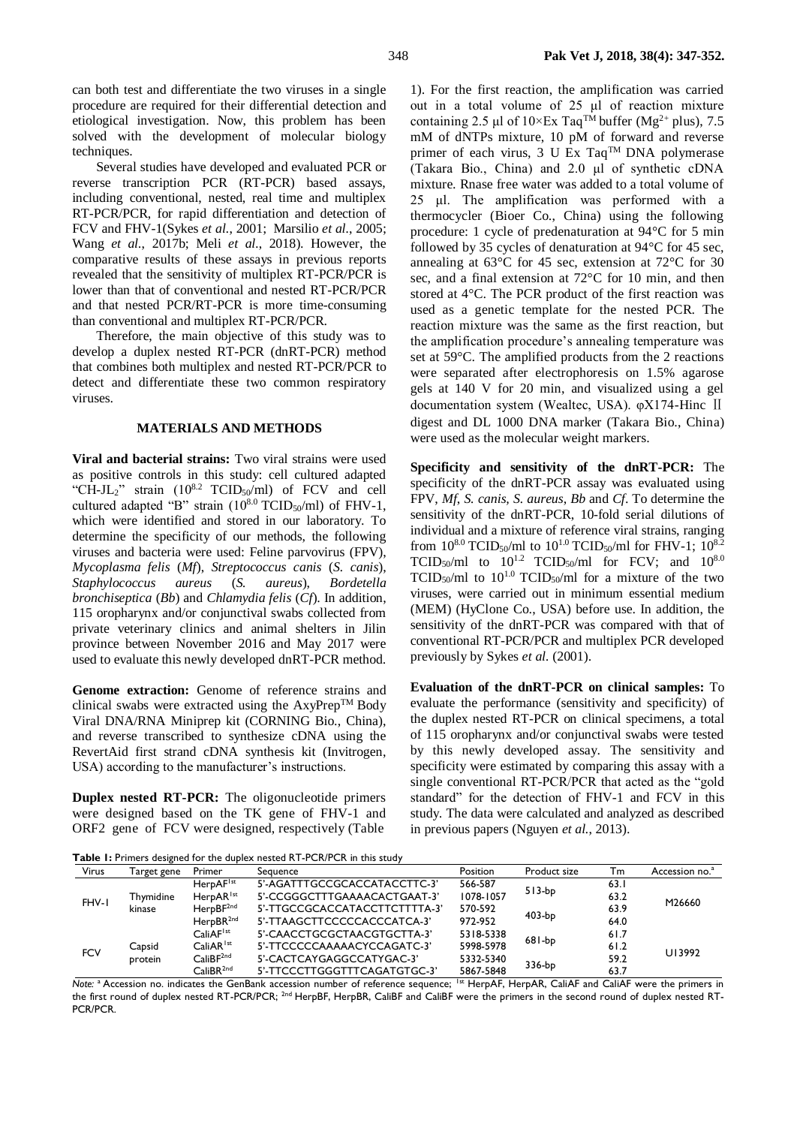Several studies have developed and evaluated PCR or reverse transcription PCR (RT-PCR) based assays, including conventional, nested, real time and multiplex RT-PCR/PCR, for rapid differentiation and detection of FCV and FHV-1(Sykes *et al.*[, 2001;](#page-5-10) [Marsilio](#page-5-11) *et al.*, 2005; Wang *et al.*[, 2017b;](#page-5-12) Meli *et al.*[, 2018\)](#page-5-13). However, the comparative results of these assays in previous reports revealed that the sensitivity of multiplex RT-PCR/PCR is lower than that of conventional and nested RT-PCR/PCR and that nested PCR/RT-PCR is more time-consuming than conventional and multiplex RT-PCR/PCR.

Therefore, the main objective of this study was to develop a duplex nested RT-PCR (dnRT-PCR) method that combines both multiplex and nested RT-PCR/PCR to detect and differentiate these two common respiratory viruses.

## **MATERIALS AND METHODS**

**Viral and bacterial strains:** Two viral strains were used as positive controls in this study: cell cultured adapted "CH-JL<sub>2</sub>" strain  $(10^{8.2} TCID<sub>50</sub>/ml)$  of FCV and cell cultured adapted "B" strain  $(10^{8.0} \text{ TCID}_{50}/\text{ml})$  of FHV-1, which were identified and stored in our laboratory. To determine the specificity of our methods, the following viruses and bacteria were used: Feline parvovirus (FPV), *Mycoplasma felis* (*Mf*), *Streptococcus canis* (*S. canis*), *Staphylococcus aureus* (*S. aureus*), *Bordetella bronchiseptica* (*Bb*) and *Chlamydia felis* (*Cf*). In addition, 115 oropharynx and/or conjunctival swabs collected from private veterinary clinics and animal shelters in Jilin province between November 2016 and May 2017 were used to evaluate this newly developed dnRT-PCR method.

Genome extraction: Genome of reference strains and clinical swabs were extracted using the  $Axy$ Prep<sup>TM</sup> Body Viral DNA/RNA Miniprep kit (CORNING Bio., China), and reverse transcribed to synthesize cDNA using the RevertAid first strand cDNA synthesis kit (Invitrogen, USA) according to the manufacturer's instructions.

**Duplex nested RT-PCR:** The oligonucleotide primers were designed based on the TK gene of FHV-1 and ORF2 gene of FCV were designed, respectively (Table

1). For the first reaction, the amplification was carried out in a total volume of 25 μl of reaction mixture containing 2.5 μl of  $10 \times Ex$  Taq<sup>TM</sup> buffer (Mg<sup>2+</sup> plus), 7.5 mM of dNTPs mixture, 10 pM of forward and reverse primer of each virus, 3 U Ex Taq<sup>TM</sup> DNA polymerase (Takara Bio., China) and 2.0 μl of synthetic cDNA mixture. Rnase free water was added to a total volume of 25 μl. The amplification was performed with a thermocycler (Bioer Co., China) using the following procedure: 1 cycle of predenaturation at 94°C for 5 min followed by 35 cycles of denaturation at 94°C for 45 sec, annealing at 63°C for 45 sec, extension at 72°C for 30 sec, and a final extension at 72°C for 10 min, and then stored at 4°C. The PCR product of the first reaction was used as a genetic template for the nested PCR. The reaction mixture was the same as the first reaction, but the amplification procedure's annealing temperature was set at 59°C. The amplified products from the 2 reactions were separated after electrophoresis on 1.5% agarose gels at 140 V for 20 min, and visualized using a gel documentation system (Wealtec, USA). φX174-Hinc Ⅱ digest and DL 1000 DNA marker (Takara Bio., China) were used as the molecular weight markers.

**Specificity and sensitivity of the dnRT-PCR:** The specificity of the dnRT-PCR assay was evaluated using FPV, *Mf*, *S. canis, S. aureus*, *Bb* and *Cf*. To determine the sensitivity of the dnRT-PCR, 10-fold serial dilutions of individual and a mixture of reference viral strains, ranging from  $10^{8.0}$  TCID<sub>50</sub>/ml to  $10^{1.0}$  TCID<sub>50</sub>/ml for FHV-1;  $10^{8.2}$ TCID<sub>50</sub>/ml to  $10^{1.2}$  TCID<sub>50</sub>/ml for FCV; and  $10^{8.0}$ TCID<sub>50</sub>/ml to  $10^{1.0}$  TCID<sub>50</sub>/ml for a mixture of the two viruses, were carried out in minimum essential medium (MEM) (HyClone Co., USA) before use. In addition, the sensitivity of the dnRT-PCR was compared with that of conventional RT-PCR/PCR and multiplex PCR developed previously by Sykes *et al.* [\(2001\)](#page-5-10).

**Evaluation of the dnRT-PCR on clinical samples:** To evaluate the performance (sensitivity and specificity) of the duplex nested RT-PCR on clinical specimens, a total of 115 oropharynx and/or conjunctival swabs were tested by this newly developed assay. The sensitivity and specificity were estimated by comparing this assay with a single conventional RT-PCR/PCR that acted as the "gold standard" for the detection of FHV-1 and FCV in this study. The data were calculated and analyzed as described in previous papers [\(Nguyen](#page-5-14) *et al.*, 2013).

**Table 1:** Primers designed for the duplex nested RT-PCR/PCR in this study

| Table 1: Primers designed for the dublex nested RT-PCR/PCR in this study |             |                       |                               |           |              |      |                            |  |
|--------------------------------------------------------------------------|-------------|-----------------------|-------------------------------|-----------|--------------|------|----------------------------|--|
| Virus                                                                    | Target gene | Primer                | Sequence                      | Position  | Product size | Тm   | Accession no. <sup>2</sup> |  |
| FHV-I                                                                    |             | HerpAF <sup>1st</sup> | 5'-AGATTTGCCGCACCATACCTTC-3'  | 566-587   |              | 63.1 |                            |  |
|                                                                          | Thymidine   | HerpAR <sup>1st</sup> | 5'-CCGGGCTTTGAAAACACTGAAT-3'  | 1078-1057 | $513-bp$     | 63.2 | M26660                     |  |
|                                                                          | kinase      | HerpBF <sup>2nd</sup> | 5'-TTGCCGCACCATACCTTCTTTTA-3' | 570-592   |              | 63.9 |                            |  |
|                                                                          |             | HerpBR <sup>2nd</sup> | 5'-TTAAGCTTCCCCCACCCATCA-3'   | 972-952   | 403-bp       | 64.0 |                            |  |
| <b>FCV</b>                                                               |             | CaliAF <sup>1st</sup> | 5'-CAACCTGCGCTAACGTGCTTA-3'   | 5318-5338 |              | 61.7 | U13992                     |  |
|                                                                          | Capsid      | CaliAR <sup>1st</sup> | 5'-TTCCCCCAAAAACYCCAGATC-3'   | 5998-5978 | $681-bp$     | 61.2 |                            |  |
|                                                                          | protein     | $CaliBF^{2nd}$        | 5'-CACTCAYGAGGCCATYGAC-3'     | 5332-5340 |              | 59.2 |                            |  |
|                                                                          |             | CaliBR <sup>2nd</sup> | 5'-TTCCCTTGGGTTTCAGATGTGC-3'  | 5867-5848 | 336-bp       | 63.7 |                            |  |

*Note:* <sup>a</sup> Accession no. indicates the GenBank accession number of reference sequence; <sup>1st</sup> HerpAF, HerpAR, CaliAF and CaliAF were the primers in the first round of duplex nested RT-PCR/PCR; 2nd HerpBF, HerpBR, CaliBF and CaliBF were the primers in the second round of duplex nested RT-PCR/PCR.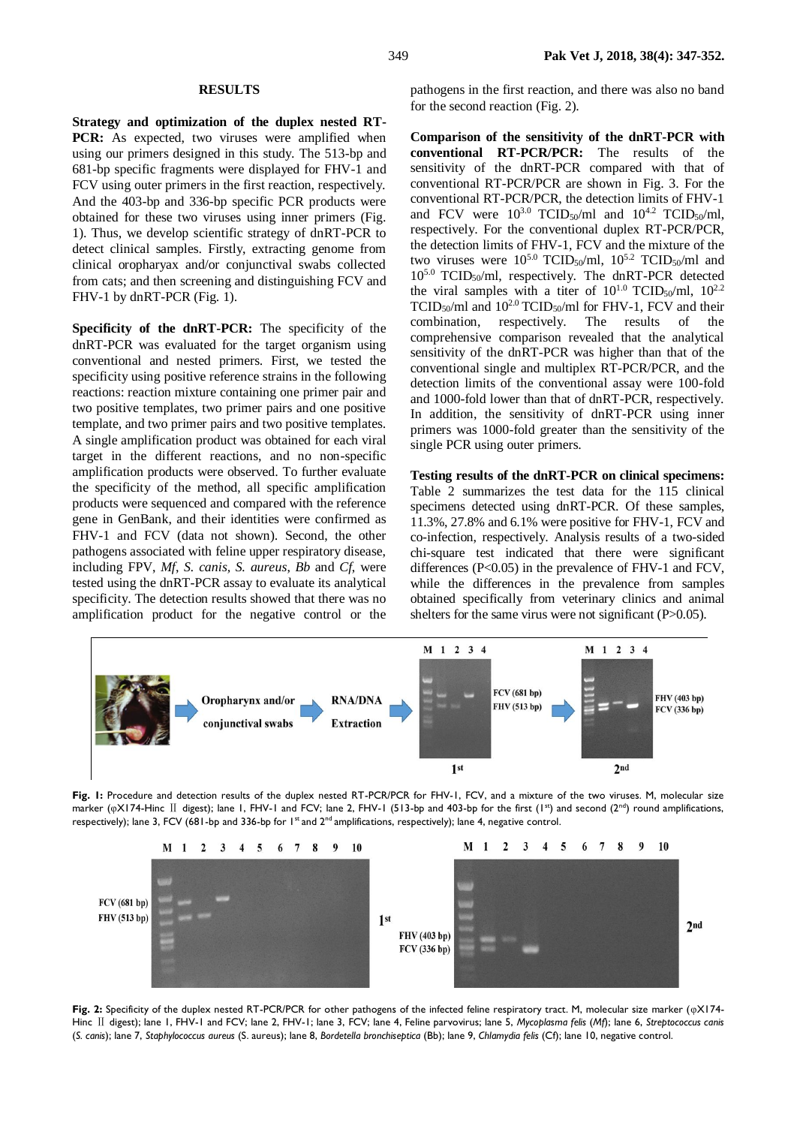## **RESULTS**

**Strategy and optimization of the duplex nested RT-**PCR: As expected, two viruses were amplified when using our primers designed in this study. The 513-bp and 681-bp specific fragments were displayed for FHV-1 and FCV using outer primers in the first reaction, respectively. And the 403-bp and 336-bp specific PCR products were obtained for these two viruses using inner primers (Fig. 1). Thus, we develop scientific strategy of dnRT-PCR to detect clinical samples. Firstly, extracting genome from clinical oropharyax and/or conjunctival swabs collected from cats; and then screening and distinguishing FCV and FHV-1 by dnRT-PCR (Fig. 1).

**Specificity of the dnRT-PCR:** The specificity of the dnRT-PCR was evaluated for the target organism using conventional and nested primers. First, we tested the specificity using positive reference strains in the following reactions: reaction mixture containing one primer pair and two positive templates, two primer pairs and one positive template, and two primer pairs and two positive templates. A single amplification product was obtained for each viral target in the different reactions, and no non-specific amplification products were observed. To further evaluate the specificity of the method, all specific amplification products were sequenced and compared with the reference gene in GenBank, and their identities were confirmed as FHV-1 and FCV (data not shown). Second, the other pathogens associated with feline upper respiratory disease, including FPV, *Mf*, *S. canis, S. aureus*, *Bb* and *Cf*, were tested using the dnRT-PCR assay to evaluate its analytical specificity. The detection results showed that there was no amplification product for the negative control or the

pathogens in the first reaction, and there was also no band for the second reaction (Fig. 2).

**Comparison of the sensitivity of the dnRT-PCR with conventional RT-PCR/PCR:** The results of the sensitivity of the dnRT-PCR compared with that of conventional RT-PCR/PCR are shown in Fig. 3. For the conventional RT-PCR/PCR, the detection limits of FHV-1 and FCV were  $10^{3.0}$  TCID<sub>50</sub>/ml and  $10^{4.2}$  TCID<sub>50</sub>/ml, respectively. For the conventional duplex RT-PCR/PCR, the detection limits of FHV-1, FCV and the mixture of the two viruses were  $10^{5.0}$  TCID<sub>50</sub>/ml,  $10^{5.2}$  TCID<sub>50</sub>/ml and  $10^{5.0}$  TCID<sub>50</sub>/ml, respectively. The dnRT-PCR detected the viral samples with a titer of  $10^{1.0}$  TCID<sub>50</sub>/ml,  $10^{2.2}$ TCID<sub>50</sub>/ml and  $10^{2.0}$  TCID<sub>50</sub>/ml for FHV-1, FCV and their combination, respectively. The results of the comprehensive comparison revealed that the analytical sensitivity of the dnRT-PCR was higher than that of the conventional single and multiplex RT-PCR/PCR, and the detection limits of the conventional assay were 100-fold and 1000-fold lower than that of dnRT-PCR, respectively. In addition, the sensitivity of dnRT-PCR using inner primers was 1000-fold greater than the sensitivity of the single PCR using outer primers.

**Testing results of the dnRT-PCR on clinical specimens:**  Table 2 summarizes the test data for the 115 clinical specimens detected using dnRT-PCR. Of these samples, 11.3%, 27.8% and 6.1% were positive for FHV-1, FCV and co-infection, respectively. Analysis results of a two-sided chi-square test indicated that there were significant differences (P<0.05) in the prevalence of FHV-1 and FCV, while the differences in the prevalence from samples obtained specifically from veterinary clinics and animal shelters for the same virus were not significant (P>0.05).



Fig. 1: Procedure and detection results of the duplex nested RT-PCR/PCR for FHV-1, FCV, and a mixture of the two viruses. M, molecular size marker (φX174-Hinc II digest); lane 1, FHV-1 and FCV; lane 2, FHV-1 (513-bp and 403-bp for the first (1<sup>st</sup>) and second (2<sup>nd</sup>) round amplifications, respectively); lane 3, FCV (681-bp and 336-bp for  $1<sup>st</sup>$  and  $2<sup>nd</sup>$  amplifications, respectively); lane 4, negative control.



**Fig. 2:** Specificity of the duplex nested RT-PCR/PCR for other pathogens of the infected feline respiratory tract. M, molecular size marker (φX174- Hinc Ⅱ digest); lane 1, FHV-1 and FCV; lane 2, FHV-1; lane 3, FCV; lane 4, Feline parvovirus; lane 5, *Mycoplasma felis* (*Mf*); lane 6, *Streptococcus canis* (*S. canis*); lane 7, *Staphylococcus aureus* (S. aureus); lane 8, *Bordetella bronchiseptica* (Bb); lane 9, *Chlamydia felis* (Cf); lane 10, negative control.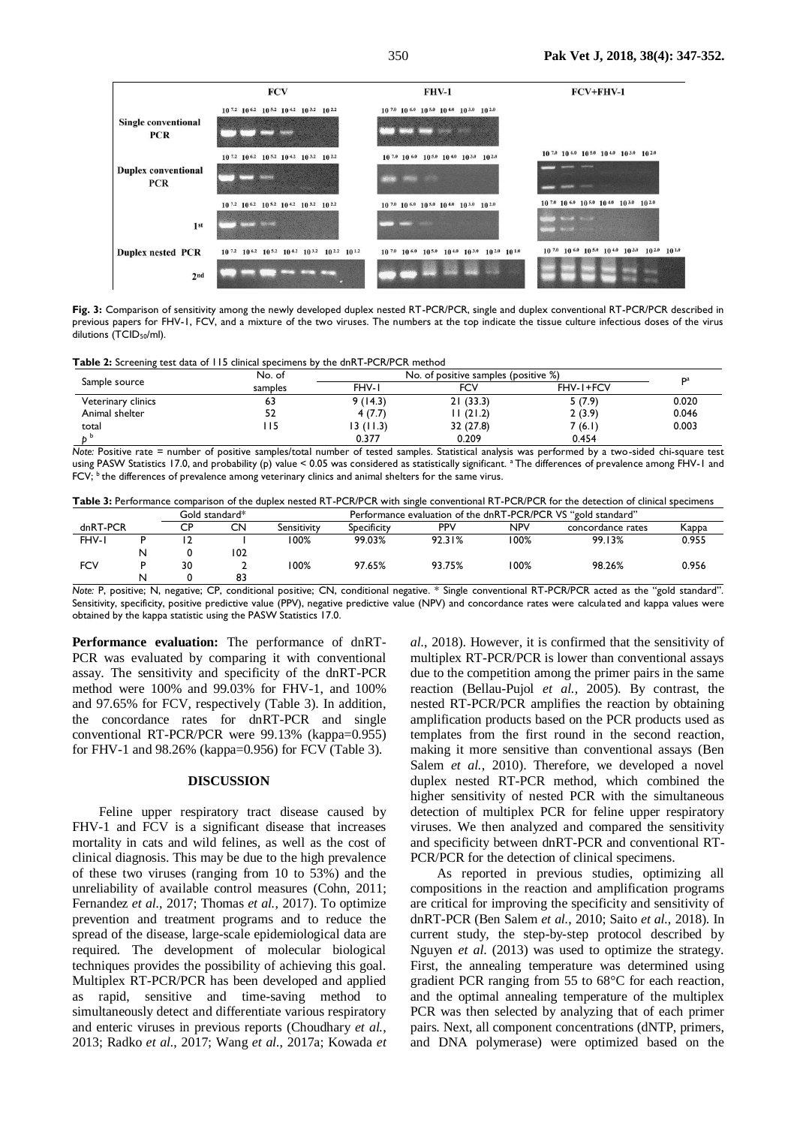

Fig. 3: Comparison of sensitivity among the newly developed duplex nested RT-PCR/PCR, single and duplex conventional RT-PCR/PCR described in previous papers for FHV-1, FCV, and a mixture of the two viruses. The numbers at the top indicate the tissue culture infectious doses of the virus dilutions (TCID<sub>50</sub>/ml).

**Table 2:** Screening test data of 115 clinical specimens by the dnRT-PCR/PCR method

|                    | No. of  | No. of positive samples (positive %) | Da        |           |       |  |
|--------------------|---------|--------------------------------------|-----------|-----------|-------|--|
| Sample source      | samples | FHV-I                                | FCV       | FHV-1+FCV |       |  |
| Veterinary clinics | 65      | 9(14.3)                              | 21(33.3)  | 5(7.9)    | 0.020 |  |
| Animal shelter     | 52      | 4(7.7)                               | 11(21.2)  | 2(3.9)    | 0.046 |  |
| total              | l I 5   | 13(11.3)                             | 32 (27.8) | 7(6.1)    | 0.003 |  |
|                    |         | 0.377                                | 0.209     | 0.454     |       |  |

*Note:* Positive rate = number of positive samples/total number of tested samples. Statistical analysis was performed by a two-sided chi-square test using PASW Statistics 17.0, and probability (p) value < 0.05 was considered as statistically significant. <sup>a</sup>The differences of prevalence among FHV-1 and FCV; <sup>b</sup> the differences of prevalence among veterinary clinics and animal shelters for the same virus.

|  |  |  | Table 3: Performance comparison of the duplex nested RT-PCR/PCR with single conventional RT-PCR/PCR for the detection of clinical specimens |
|--|--|--|---------------------------------------------------------------------------------------------------------------------------------------------|
|--|--|--|---------------------------------------------------------------------------------------------------------------------------------------------|

|            |   |    | Gold standard* |             | Performance evaluation of the dnRT-PCR/PCR VS "gold standard" |            |      |                   |       |
|------------|---|----|----------------|-------------|---------------------------------------------------------------|------------|------|-------------------|-------|
| dnRT-PCR   |   |    | CN             | Sensitivity | Specificity                                                   | <b>PPV</b> | NPV  | concordance rates | Kappa |
| FHV-I      |   |    |                | 100%        | 99.03%                                                        | 92.31%     | 100% | 99.13%            | 0.955 |
|            | N |    | 102            |             |                                                               |            |      |                   |       |
| <b>FCV</b> |   | 30 |                | 100%        | 97.65%                                                        | 93.75%     | 00%  | 98.26%            | 0.956 |
|            | N |    |                |             |                                                               |            |      |                   |       |

*Note:* P, positive; N, negative; CP, conditional positive; CN, conditional negative. \* Single conventional RT-PCR/PCR acted as the "gold standard". Sensitivity, specificity, positive predictive value (PPV), negative predictive value (NPV) and concordance rates were calculated and kappa values were obtained by the kappa statistic using the PASW Statistics 17.0.

**Performance evaluation:** The performance of dnRT-PCR was evaluated by comparing it with conventional assay. The sensitivity and specificity of the dnRT-PCR method were 100% and 99.03% for FHV-1, and 100% and 97.65% for FCV, respectively (Table 3). In addition, the concordance rates for dnRT-PCR and single conventional RT-PCR/PCR were 99.13% (kappa=0.955) for FHV-1 and 98.26% (kappa=0.956) for FCV (Table 3).

## **DISCUSSION**

Feline upper respiratory tract disease caused by FHV-1 and FCV is a significant disease that increases mortality in cats and wild felines, as well as the cost of clinical diagnosis. This may be due to the high prevalence of these two viruses (ranging from 10 to 53%) and the unreliability of available control measures [\(Cohn, 2011;](#page-4-0) [Fernandez](#page-4-4) *et al.*, 2017; [Thomas](#page-5-15) *et al.*, 2017). To optimize prevention and treatment programs and to reduce the spread of the disease, large-scale epidemiological data are required. The development of molecular biological techniques provides the possibility of achieving this goal. Multiplex RT-PCR/PCR has been developed and applied as rapid, sensitive and time-saving method to simultaneously detect and differentiate various respiratory and enteric viruses in previous reports [\(Choudhary](#page-4-5) *et al.*, [2013;](#page-4-5) [Radko](#page-5-16) *et al.*, 2017; Wang *et al.*[, 2017a;](#page-5-17) [Kowada](#page-5-18) *et* 

*al.*[, 2018\)](#page-5-18). However, it is confirmed that the sensitivity of multiplex RT-PCR/PCR is lower than conventional assays due to the competition among the primer pairs in the same reaction [\(Bellau-Pujol](#page-4-6) *et al.*, 2005). By contrast, the nested RT-PCR/PCR amplifies the reaction by obtaining amplification products based on the PCR products used as templates from the first round in the second reaction, making it more sensitive than conventional assays [\(Ben](#page-4-7)  Salem *et al.*[, 2010\)](#page-4-7). Therefore, we developed a novel duplex nested RT-PCR method, which combined the higher sensitivity of nested PCR with the simultaneous detection of multiplex PCR for feline upper respiratory viruses. We then analyzed and compared the sensitivity and specificity between dnRT-PCR and conventional RT-PCR/PCR for the detection of clinical specimens.

As reported in previous studies, optimizing all compositions in the reaction and amplification programs are critical for improving the specificity and sensitivity of dnRT-PCR [\(Ben Salem](#page-4-7) *et al.*, 2010; Saito *et al.*[, 2018\)](#page-5-19). In current study, the step-by-step protocol described by Nguyen *et al*. (2013) was used to optimize the strategy. First, the annealing temperature was determined using gradient PCR ranging from 55 to 68°C for each reaction, and the optimal annealing temperature of the multiplex PCR was then selected by analyzing that of each primer pairs. Next, all component concentrations (dNTP, primers, and DNA polymerase) were optimized based on the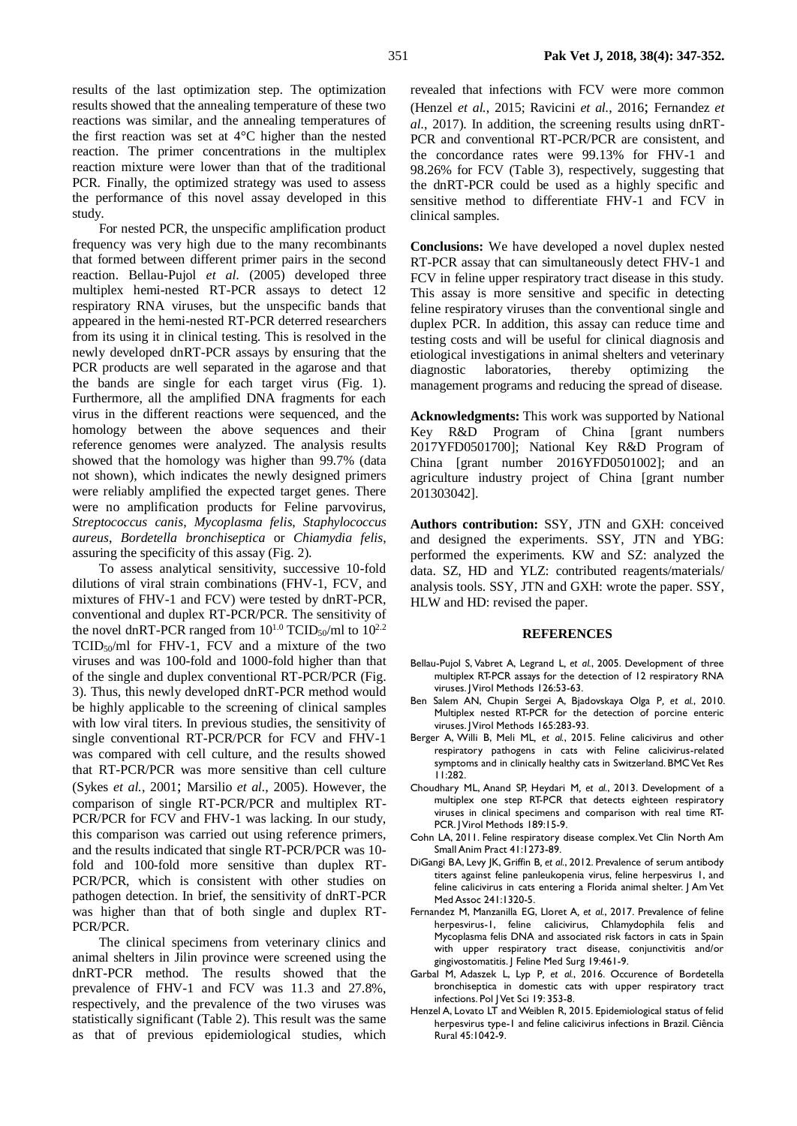results of the last optimization step. The optimization results showed that the annealing temperature of these two reactions was similar, and the annealing temperatures of the first reaction was set at 4°C higher than the nested reaction. The primer concentrations in the multiplex reaction mixture were lower than that of the traditional PCR. Finally, the optimized strategy was used to assess the performance of this novel assay developed in this study.

For nested PCR, the unspecific amplification product frequency was very high due to the many recombinants that formed between different primer pairs in the second reaction. Bellau-Pujol *et al*. (2005) developed three multiplex hemi-nested RT-PCR assays to detect 12 respiratory RNA viruses, but the unspecific bands that appeared in the hemi-nested RT-PCR deterred researchers from its using it in clinical testing. This is resolved in the newly developed dnRT-PCR assays by ensuring that the PCR products are well separated in the agarose and that the bands are single for each target virus (Fig. 1). Furthermore, all the amplified DNA fragments for each virus in the different reactions were sequenced, and the homology between the above sequences and their reference genomes were analyzed. The analysis results showed that the homology was higher than 99.7% (data not shown), which indicates the newly designed primers were reliably amplified the expected target genes. There were no amplification products for Feline parvovirus, *Streptococcus canis*, *Mycoplasma felis*, *Staphylococcus aureus*, *Bordetella bronchiseptica* or *Chiamydia felis*, assuring the specificity of this assay (Fig. 2).

To assess analytical sensitivity, successive 10-fold dilutions of viral strain combinations (FHV-1, FCV, and mixtures of FHV-1 and FCV) were tested by dnRT-PCR, conventional and duplex RT-PCR/PCR. The sensitivity of the novel dnRT-PCR ranged from  $10^{1.0}$  TCID<sub>50</sub>/ml to  $10^{2.2}$  $TCID<sub>50</sub>/ml$  for FHV-1, FCV and a mixture of the two viruses and was 100-fold and 1000-fold higher than that of the single and duplex conventional RT-PCR/PCR (Fig. 3). Thus, this newly developed dnRT-PCR method would be highly applicable to the screening of clinical samples with low viral titers. In previous studies, the sensitivity of single conventional RT-PCR/PCR for FCV and FHV-1 was compared with cell culture, and the results showed that RT-PCR/PCR was more sensitive than cell culture (Sykes *et al.*[, 2001](#page-5-10); [Marsilio](#page-5-11) *et al.*, 2005). However, the comparison of single RT-PCR/PCR and multiplex RT-PCR/PCR for FCV and FHV-1 was lacking. In our study, this comparison was carried out using reference primers, and the results indicated that single RT-PCR/PCR was 10 fold and 100-fold more sensitive than duplex RT-PCR/PCR, which is consistent with other studies on pathogen detection. In brief, the sensitivity of dnRT-PCR was higher than that of both single and duplex RT-PCR/PCR.

The clinical specimens from veterinary clinics and animal shelters in Jilin province were screened using the dnRT-PCR method. The results showed that the prevalence of FHV-1 and FCV was 11.3 and 27.8%, respectively, and the prevalence of the two viruses was statistically significant (Table 2). This result was the same as that of previous epidemiological studies, which

revealed that infections with FCV were more common [\(Henzel](#page-4-8) *et al.*, 2015; [Ravicini](#page-5-20) *et al.*, 2016; [Fernandez](#page-4-4) *et al.*[, 2017\)](#page-4-4). In addition, the screening results using dnRT-PCR and conventional RT-PCR/PCR are consistent, and the concordance rates were 99.13% for FHV-1 and 98.26% for FCV (Table 3), respectively, suggesting that the dnRT-PCR could be used as a highly specific and sensitive method to differentiate FHV-1 and FCV in clinical samples.

**Conclusions:** We have developed a novel duplex nested RT-PCR assay that can simultaneously detect FHV-1 and FCV in feline upper respiratory tract disease in this study. This assay is more sensitive and specific in detecting feline respiratory viruses than the conventional single and duplex PCR. In addition, this assay can reduce time and testing costs and will be useful for clinical diagnosis and etiological investigations in animal shelters and veterinary diagnostic laboratories, thereby optimizing the management programs and reducing the spread of disease.

**Acknowledgments:** This work was supported by National Key R&D Program of China [grant numbers 2017YFD0501700]; National Key R&D Program of China [grant number 2016YFD0501002]; and an agriculture industry project of China [grant number 201303042].

**Authors contribution:** SSY, JTN and GXH: conceived and designed the experiments. SSY, JTN and YBG: performed the experiments. KW and SZ: analyzed the data. SZ, HD and YLZ: contributed reagents/materials/ analysis tools. SSY, JTN and GXH: wrote the paper. SSY, HLW and HD: revised the paper.

### **REFERENCES**

- <span id="page-4-6"></span>Bellau-Pujol S, Vabret A, Legrand L*, et al.*, 2005. Development of three multiplex RT-PCR assays for the detection of 12 respiratory RNA viruses. J Virol Methods 126:53-63.
- <span id="page-4-7"></span>Ben Salem AN, Chupin Sergei A, Bjadovskaya Olga P*, et al.*, 2010. Multiplex nested RT-PCR for the detection of porcine enteric viruses. J Virol Methods 165:283-93.
- <span id="page-4-1"></span>Berger A, Willi B, Meli ML*, et al.*, 2015. Feline calicivirus and other respiratory pathogens in cats with Feline calicivirus-related symptoms and in clinically healthy cats in Switzerland. BMC Vet Res 11:282.
- <span id="page-4-5"></span>Choudhary ML, Anand SP, Heydari M*, et al.*, 2013. Development of a multiplex one step RT-PCR that detects eighteen respiratory viruses in clinical specimens and comparison with real time RT-PCR. J Virol Methods 189:15-9.
- <span id="page-4-0"></span>Cohn LA, 2011. Feline respiratory disease complex. Vet Clin North Am Small Anim Pract 41:1273-89.
- <span id="page-4-3"></span>DiGangi BA, Levy JK, Griffin B*, et al.*, 2012. Prevalence of serum antibody titers against feline panleukopenia virus, feline herpesvirus 1, and feline calicivirus in cats entering a Florida animal shelter. J Am Vet Med Assoc 241:1320-5.
- <span id="page-4-4"></span>Fernandez M, Manzanilla EG, Lloret A*, et al.*, 2017. Prevalence of feline herpesvirus-1, feline calicivirus, Chlamydophila felis and Mycoplasma felis DNA and associated risk factors in cats in Spain with upper respiratory tract disease, conjunctivitis and/or gingivostomatitis. J Feline Med Surg 19:461-9.
- <span id="page-4-2"></span>Garbal M, Adaszek L, Lyp P*, et al.*, 2016. Occurence of Bordetella bronchiseptica in domestic cats with upper respiratory tract infections. Pol J Vet Sci 19: 353-8.
- <span id="page-4-8"></span>Henzel A, Lovato LT and Weiblen R, 2015. Epidemiological status of felid herpesvirus type-1 and feline calicivirus infections in Brazil. Ciência Rural 45:1042-9.